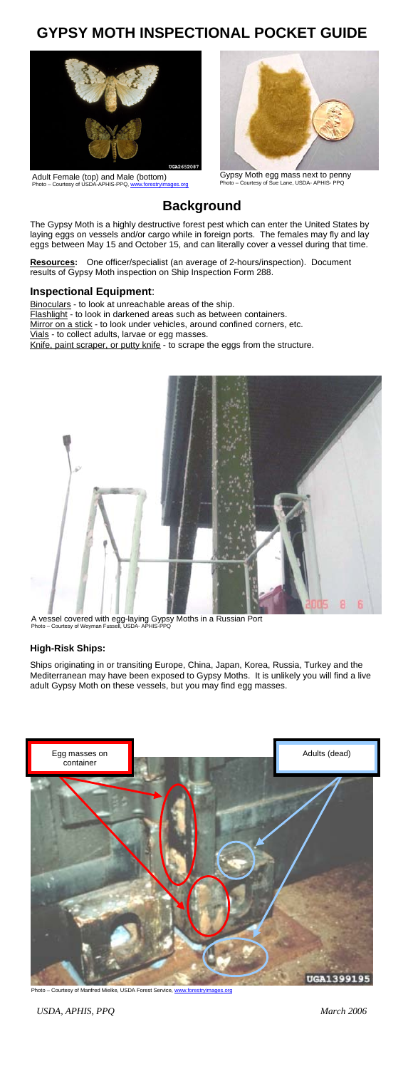# **GYPSY MOTH INSPECTIONAL POCKET GUIDE**



Adult Female (top) and Male (bottom)<br>Photo – Courtesy of USDA-APHIS-PPQ, [www.forestryimages.org](http://www.forestryimages.org/)



Gypsy Moth egg mass next to penny Photo – Courtesy of Sue Lane, USDA- APHIS- PPQ

# **Background**

The Gypsy Moth is a highly destructive forest pest which can enter the United States by laying eggs on vessels and/or cargo while in foreign ports. The females may fly and lay eggs between May 15 and October 15, and can literally cover a vessel during that time.

**Resources:** One officer/specialist (an average of 2-hours/inspection). Document results of Gypsy Moth inspection on Ship Inspection Form 288.

#### **Inspectional Equipment**:

Binoculars - to look at unreachable areas of the ship.

Flashlight - to look in darkened areas such as between containers. Mirror on a stick - to look under vehicles, around confined corners, etc.

Vials - to collect adults, larvae or egg masses.

Knife, paint scraper, or putty knife - to scrape the eggs from the structure.



A vessel covered with egg-laying Gypsy Moths in a Russian Port Photo – Courtesy of Weyman Fussell, USDA- APHIS-PPQ

#### **High-Risk Ships:**

Ships originating in or transiting Europe, China, Japan, Korea, Russia, Turkey and the<br>Mediterranean may have been exposed to Gypsy Moths. It is unlikely you will find a live<br>adult Gypsy Moth on these vessels, but you may



Photo - Courtesy of Manfred Mielke, USDA Forest Service, www.forestryimages.org